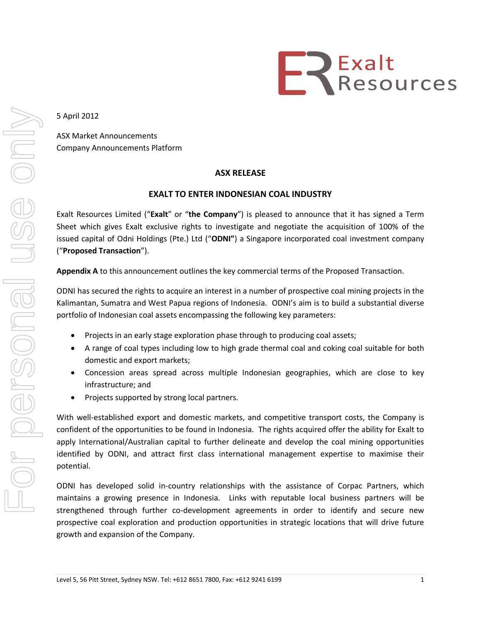

5 April 2012

ASX Market Announcements Company Announcements Platform

## **ASX RELEASE**

## **EXALT TO ENTER INDONESIAN COAL INDUSTRY**

Exalt Resources Limited ("**Exalt**" or "**the Company**") is pleased to announce that it has signed a Term Sheet which gives Exalt exclusive rights to investigate and negotiate the acquisition of 100% of the issued capital of Odni Holdings (Pte.) Ltd ("**ODNI"**) a Singapore incorporated coal investment company ("**Proposed Transaction**").

**Appendix A** to this announcement outlines the key commercial terms of the Proposed Transaction.

ODNI has secured the rights to acquire an interest in a number of prospective coal mining projects in the Kalimantan, Sumatra and West Papua regions of Indonesia. ODNI's aim is to build a substantial diverse portfolio of Indonesian coal assets encompassing the following key parameters:

- Projects in an early stage exploration phase through to producing coal assets;
- A range of coal types including low to high grade thermal coal and coking coal suitable for both domestic and export markets;
- Concession areas spread across multiple Indonesian geographies, which are close to key infrastructure; and
- Projects supported by strong local partners.

With well-established export and domestic markets, and competitive transport costs, the Company is confident of the opportunities to be found in Indonesia. The rights acquired offer the ability for Exalt to apply International/Australian capital to further delineate and develop the coal mining opportunities identified by ODNI, and attract first class international management expertise to maximise their potential.

ODNI has developed solid in-country relationships with the assistance of Corpac Partners, which maintains a growing presence in Indonesia. Links with reputable local business partners will be strengthened through further co-development agreements in order to identify and secure new prospective coal exploration and production opportunities in strategic locations that will drive future growth and expansion of the Company.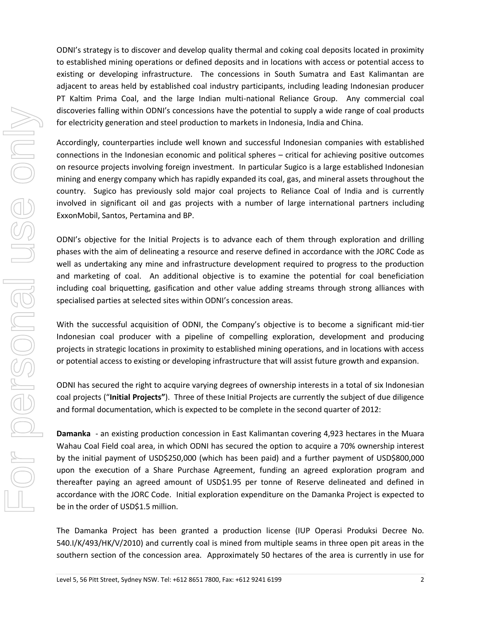ODNI's strategy is to discover and develop quality thermal and coking coal deposits located in proximity to established mining operations or defined deposits and in locations with access or potential access to existing or developing infrastructure. The concessions in South Sumatra and East Kalimantan are adjacent to areas held by established coal industry participants, including leading Indonesian producer PT Kaltim Prima Coal, and the large Indian multi-national Reliance Group. Any commercial coal discoveries falling within ODNI's concessions have the potential to supply a wide range of coal products for electricity generation and steel production to markets in Indonesia, India and China.

Accordingly, counterparties include well known and successful Indonesian companies with established connections in the Indonesian economic and political spheres – critical for achieving positive outcomes on resource projects involving foreign investment. In particular Sugico is a large established Indonesian mining and energy company which has rapidly expanded its coal, gas, and mineral assets throughout the country. Sugico has previously sold major coal projects to Reliance Coal of India and is currently involved in significant oil and gas projects with a number of large international partners including ExxonMobil, Santos, Pertamina and BP.

ODNI's objective for the Initial Projects is to advance each of them through exploration and drilling phases with the aim of delineating a resource and reserve defined in accordance with the JORC Code as well as undertaking any mine and infrastructure development required to progress to the production and marketing of coal. An additional objective is to examine the potential for coal beneficiation including coal briquetting, gasification and other value adding streams through strong alliances with specialised parties at selected sites within ODNI's concession areas.

With the successful acquisition of ODNI, the Company's objective is to become a significant mid-tier Indonesian coal producer with a pipeline of compelling exploration, development and producing projects in strategic locations in proximity to established mining operations, and in locations with access or potential access to existing or developing infrastructure that will assist future growth and expansion.

ODNI has secured the right to acquire varying degrees of ownership interests in a total of six Indonesian coal projects ("**Initial Projects"**). Three of these Initial Projects are currently the subject of due diligence and formal documentation, which is expected to be complete in the second quarter of 2012:

**Damanka** - an existing production concession in East Kalimantan covering 4,923 hectares in the Muara Wahau Coal Field coal area, in which ODNI has secured the option to acquire a 70% ownership interest by the initial payment of USD\$250,000 (which has been paid) and a further payment of USD\$800,000 upon the execution of a Share Purchase Agreement, funding an agreed exploration program and thereafter paying an agreed amount of USD\$1.95 per tonne of Reserve delineated and defined in accordance with the JORC Code. Initial exploration expenditure on the Damanka Project is expected to be in the order of USD\$1.5 million.

The Damanka Project has been granted a production license (IUP Operasi Produksi Decree No. 540.I/K/493/HK/V/2010) and currently coal is mined from multiple seams in three open pit areas in the southern section of the concession area. Approximately 50 hectares of the area is currently in use for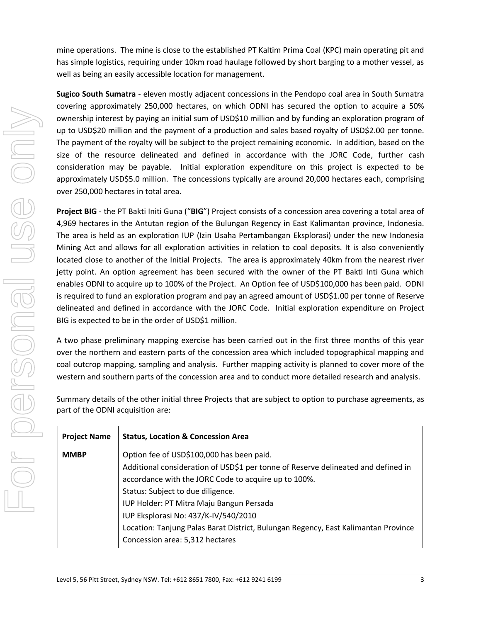mine operations. The mine is close to the established PT Kaltim Prima Coal (KPC) main operating pit and has simple logistics, requiring under 10km road haulage followed by short barging to a mother vessel, as well as being an easily accessible location for management.

**Sugico South Sumatra** - eleven mostly adjacent concessions in the Pendopo coal area in South Sumatra covering approximately 250,000 hectares, on which ODNI has secured the option to acquire a 50% ownership interest by paying an initial sum of USD\$10 million and by funding an exploration program of up to USD\$20 million and the payment of a production and sales based royalty of USD\$2.00 per tonne. The payment of the royalty will be subject to the project remaining economic. In addition, based on the size of the resource delineated and defined in accordance with the JORC Code, further cash consideration may be payable. Initial exploration expenditure on this project is expected to be approximately USD\$5.0 million. The concessions typically are around 20,000 hectares each, comprising over 250,000 hectares in total area.

**Project BIG** - the PT Bakti Initi Guna ("**BIG**") Project consists of a concession area covering a total area of 4,969 hectares in the Antutan region of the Bulungan Regency in East Kalimantan province, Indonesia. The area is held as an exploration IUP (Izin Usaha Pertambangan Eksplorasi) under the new Indonesia Mining Act and allows for all exploration activities in relation to coal deposits. It is also conveniently located close to another of the Initial Projects. The area is approximately 40km from the nearest river jetty point. An option agreement has been secured with the owner of the PT Bakti Inti Guna which enables ODNI to acquire up to 100% of the Project. An Option fee of USD\$100,000 has been paid. ODNI is required to fund an exploration program and pay an agreed amount of USD\$1.00 per tonne of Reserve delineated and defined in accordance with the JORC Code. Initial exploration expenditure on Project BIG is expected to be in the order of USD\$1 million.

A two phase preliminary mapping exercise has been carried out in the first three months of this year over the northern and eastern parts of the concession area which included topographical mapping and coal outcrop mapping, sampling and analysis. Further mapping activity is planned to cover more of the western and southern parts of the concession area and to conduct more detailed research and analysis.

Summary details of the other initial three Projects that are subject to option to purchase agreements, as part of the ODNI acquisition are:

| <b>Project Name</b> | <b>Status, Location &amp; Concession Area</b>                                      |
|---------------------|------------------------------------------------------------------------------------|
| <b>MMBP</b>         | Option fee of USD\$100,000 has been paid.                                          |
|                     | Additional consideration of USD\$1 per tonne of Reserve delineated and defined in  |
|                     | accordance with the JORC Code to acquire up to 100%.                               |
|                     | Status: Subject to due diligence.                                                  |
|                     | IUP Holder: PT Mitra Maju Bangun Persada                                           |
|                     | IUP Eksplorasi No: 437/K-IV/540/2010                                               |
|                     | Location: Tanjung Palas Barat District, Bulungan Regency, East Kalimantan Province |
|                     | Concession area: 5,312 hectares                                                    |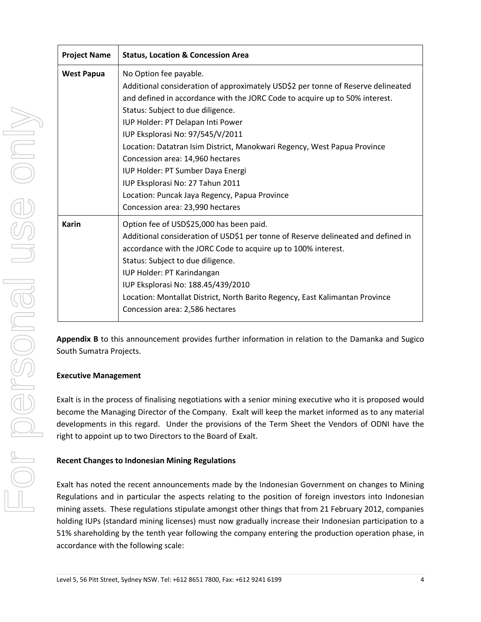| <b>Project Name</b> | <b>Status, Location &amp; Concession Area</b>                                                                                                                                                                                                                                                                                                                                                                                                                                                                                                                                         |  |  |
|---------------------|---------------------------------------------------------------------------------------------------------------------------------------------------------------------------------------------------------------------------------------------------------------------------------------------------------------------------------------------------------------------------------------------------------------------------------------------------------------------------------------------------------------------------------------------------------------------------------------|--|--|
| <b>West Papua</b>   | No Option fee payable.<br>Additional consideration of approximately USD\$2 per tonne of Reserve delineated<br>and defined in accordance with the JORC Code to acquire up to 50% interest.<br>Status: Subject to due diligence.<br>IUP Holder: PT Delapan Inti Power<br>IUP Eksplorasi No: 97/545/V/2011<br>Location: Datatran Isim District, Manokwari Regency, West Papua Province<br>Concession area: 14,960 hectares<br>IUP Holder: PT Sumber Daya Energi<br>IUP Eksplorasi No: 27 Tahun 2011<br>Location: Puncak Jaya Regency, Papua Province<br>Concession area: 23,990 hectares |  |  |
| <b>Karin</b>        | Option fee of USD\$25,000 has been paid.<br>Additional consideration of USD\$1 per tonne of Reserve delineated and defined in<br>accordance with the JORC Code to acquire up to 100% interest.<br>Status: Subject to due diligence.<br>IUP Holder: PT Karindangan<br>IUP Eksplorasi No: 188.45/439/2010<br>Location: Montallat District, North Barito Regency, East Kalimantan Province<br>Concession area: 2,586 hectares                                                                                                                                                            |  |  |

**Appendix B** to this announcement provides further information in relation to the Damanka and Sugico South Sumatra Projects.

# **Executive Management**

Exalt is in the process of finalising negotiations with a senior mining executive who it is proposed would become the Managing Director of the Company. Exalt will keep the market informed as to any material developments in this regard. Under the provisions of the Term Sheet the Vendors of ODNI have the right to appoint up to two Directors to the Board of Exalt.

# **Recent Changes to Indonesian Mining Regulations**

Exalt has noted the recent announcements made by the Indonesian Government on changes to Mining Regulations and in particular the aspects relating to the position of foreign investors into Indonesian mining assets. These regulations stipulate amongst other things that from 21 February 2012, companies holding IUPs (standard mining licenses) must now gradually increase their Indonesian participation to a 51% shareholding by the tenth year following the company entering the production operation phase, in accordance with the following scale: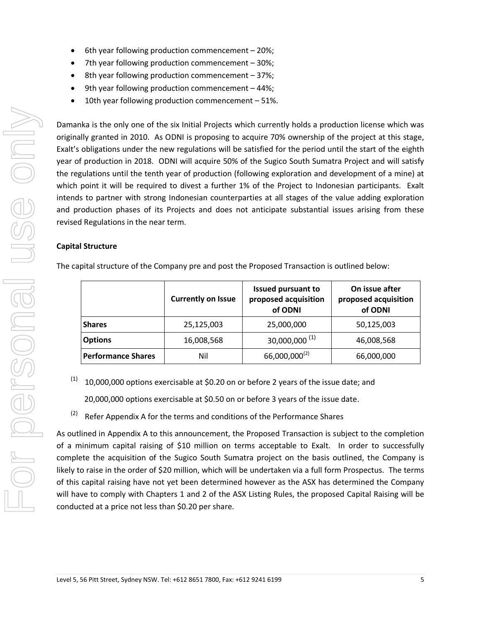- 6th year following production commencement 20%;
- 7th year following production commencement 30%;
- $\bullet$  8th year following production commencement 37%;
- 9th year following production commencement 44%;
- 10th year following production commencement 51%.

Damanka is the only one of the six Initial Projects which currently holds a production license which was originally granted in 2010. As ODNI is proposing to acquire 70% ownership of the project at this stage, Exalt's obligations under the new regulations will be satisfied for the period until the start of the eighth year of production in 2018. ODNI will acquire 50% of the Sugico South Sumatra Project and will satisfy the regulations until the tenth year of production (following exploration and development of a mine) at which point it will be required to divest a further 1% of the Project to Indonesian participants. Exalt intends to partner with strong Indonesian counterparties at all stages of the value adding exploration and production phases of its Projects and does not anticipate substantial issues arising from these revised Regulations in the near term.

## **Capital Structure**

|                           | <b>Currently on Issue</b> | <b>Issued pursuant to</b><br>proposed acquisition<br>of ODNI | On issue after<br>proposed acquisition<br>of ODNI |
|---------------------------|---------------------------|--------------------------------------------------------------|---------------------------------------------------|
| <b>Shares</b>             | 25,125,003                | 25,000,000                                                   | 50,125,003                                        |
| <b>Options</b>            | 16,008,568                | $30,000,000$ <sup>(1)</sup>                                  | 46,008,568                                        |
| <b>Performance Shares</b> | Nil                       | $66,000,000^{(2)}$                                           | 66,000,000                                        |

The capital structure of the Company pre and post the Proposed Transaction is outlined below:

 $(1)$  10,000,000 options exercisable at \$0.20 on or before 2 years of the issue date; and

20,000,000 options exercisable at \$0.50 on or before 3 years of the issue date.

 $(2)$  Refer Appendix A for the terms and conditions of the Performance Shares

As outlined in Appendix A to this announcement, the Proposed Transaction is subject to the completion of a minimum capital raising of \$10 million on terms acceptable to Exalt. In order to successfully complete the acquisition of the Sugico South Sumatra project on the basis outlined, the Company is likely to raise in the order of \$20 million, which will be undertaken via a full form Prospectus. The terms of this capital raising have not yet been determined however as the ASX has determined the Company will have to comply with Chapters 1 and 2 of the ASX Listing Rules, the proposed Capital Raising will be conducted at a price not less than \$0.20 per share.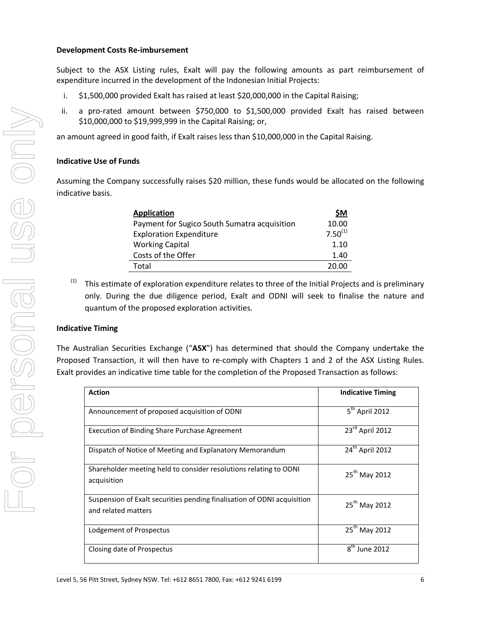#### **Development Costs Re-imbursement**

Subject to the ASX Listing rules, Exalt will pay the following amounts as part reimbursement of expenditure incurred in the development of the Indonesian Initial Projects:

- i. \$1,500,000 provided Exalt has raised at least \$20,000,000 in the Capital Raising;
- ii. a pro-rated amount between \$750,000 to \$1,500,000 provided Exalt has raised between \$10,000,000 to \$19,999,999 in the Capital Raising; or,

an amount agreed in good faith, if Exalt raises less than \$10,000,000 in the Capital Raising.

## **Indicative Use of Funds**

Assuming the Company successfully raises \$20 million, these funds would be allocated on the following indicative basis.

| <b>Application</b>                           | \$M          |
|----------------------------------------------|--------------|
| Payment for Sugico South Sumatra acquisition | 10.00        |
| <b>Exploration Expenditure</b>               | $7.50^{(1)}$ |
| <b>Working Capital</b>                       | 1.10         |
| Costs of the Offer                           | 1.40         |
| Total                                        | 20.00        |

 $(1)$  This estimate of exploration expenditure relates to three of the Initial Projects and is preliminary only. During the due diligence period, Exalt and ODNI will seek to finalise the nature and quantum of the proposed exploration activities.

## **Indicative Timing**

The Australian Securities Exchange ("**ASX**") has determined that should the Company undertake the Proposed Transaction, it will then have to re-comply with Chapters 1 and 2 of the ASX Listing Rules. Exalt provides an indicative time table for the completion of the Proposed Transaction as follows:

| <b>Action</b>                                                                                  | <b>Indicative Timing</b>    |
|------------------------------------------------------------------------------------------------|-----------------------------|
| Announcement of proposed acquisition of ODNI                                                   | 5 <sup>th</sup> April 2012  |
| Execution of Binding Share Purchase Agreement                                                  | 23rd April 2012             |
| Dispatch of Notice of Meeting and Explanatory Memorandum                                       | $24^{\text{th}}$ April 2012 |
| Shareholder meeting held to consider resolutions relating to ODNI<br>acquisition               | 25 <sup>th</sup> May 2012   |
| Suspension of Exalt securities pending finalisation of ODNI acquisition<br>and related matters | 25 <sup>th</sup> May 2012   |
| Lodgement of Prospectus                                                                        | 25 <sup>th</sup> May 2012   |
| Closing date of Prospectus                                                                     | $8th$ June 2012             |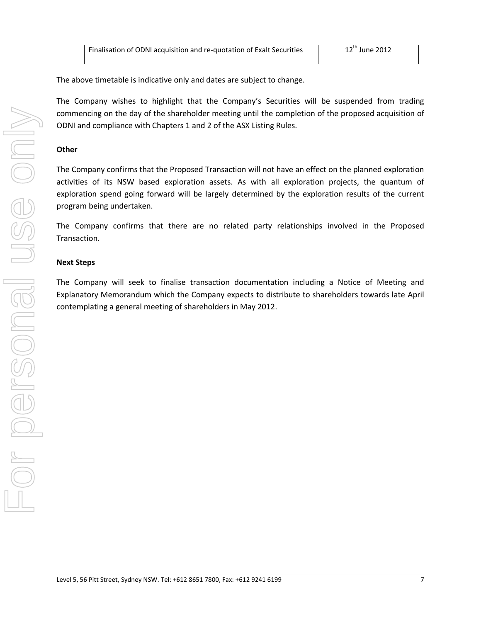| Finalisation of ODNI acquisition and re-quotation of Exalt Securities | 12" June 2012 |
|-----------------------------------------------------------------------|---------------|

The above timetable is indicative only and dates are subject to change.

The Company wishes to highlight that the Company's Securities will be suspended from trading commencing on the day of the shareholder meeting until the completion of the proposed acquisition of ODNI and compliance with Chapters 1 and 2 of the ASX Listing Rules.

## **Other**

The Company confirms that the Proposed Transaction will not have an effect on the planned exploration activities of its NSW based exploration assets. As with all exploration projects, the quantum of exploration spend going forward will be largely determined by the exploration results of the current program being undertaken.

The Company confirms that there are no related party relationships involved in the Proposed Transaction.

## **Next Steps**

The Company will seek to finalise transaction documentation including a Notice of Meeting and Explanatory Memorandum which the Company expects to distribute to shareholders towards late April contemplating a general meeting of shareholders in May 2012.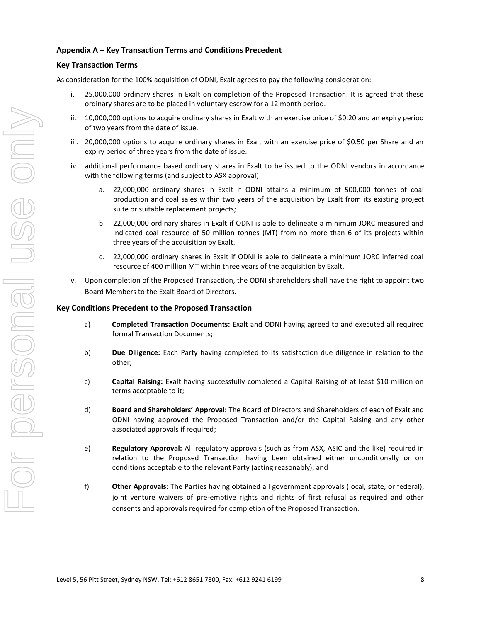## **Appendix A – Key Transaction Terms and Conditions Precedent**

## **Key Transaction Terms**

As consideration for the 100% acquisition of ODNI, Exalt agrees to pay the following consideration:

- i. 25,000,000 ordinary shares in Exalt on completion of the Proposed Transaction. It is agreed that these ordinary shares are to be placed in voluntary escrow for a 12 month period.
- ii. 10,000,000 options to acquire ordinary shares in Exalt with an exercise price of \$0.20 and an expiry period of two years from the date of issue.
- iii. 20,000,000 options to acquire ordinary shares in Exalt with an exercise price of \$0.50 per Share and an expiry period of three years from the date of issue.
- iv. additional performance based ordinary shares in Exalt to be issued to the ODNI vendors in accordance with the following terms (and subject to ASX approval):
	- a. 22,000,000 ordinary shares in Exalt if ODNI attains a minimum of 500,000 tonnes of coal production and coal sales within two years of the acquisition by Exalt from its existing project suite or suitable replacement projects;
	- b. 22,000,000 ordinary shares in Exalt if ODNI is able to delineate a minimum JORC measured and indicated coal resource of 50 million tonnes (MT) from no more than 6 of its projects within three years of the acquisition by Exalt.
	- c. 22,000,000 ordinary shares in Exalt if ODNI is able to delineate a minimum JORC inferred coal resource of 400 million MT within three years of the acquisition by Exalt.
- v. Upon completion of the Proposed Transaction, the ODNI shareholders shall have the right to appoint two Board Members to the Exalt Board of Directors.

### **Key Conditions Precedent to the Proposed Transaction**

- a) **Completed Transaction Documents:** Exalt and ODNI having agreed to and executed all required formal Transaction Documents;
- b) **Due Diligence:** Each Party having completed to its satisfaction due diligence in relation to the other;
- c) **Capital Raising:** Exalt having successfully completed a Capital Raising of at least \$10 million on terms acceptable to it;
- d) **Board and Shareholders' Approval:** The Board of Directors and Shareholders of each of Exalt and ODNI having approved the Proposed Transaction and/or the Capital Raising and any other associated approvals if required;
- e) **Regulatory Approval:** All regulatory approvals (such as from ASX, ASIC and the like) required in relation to the Proposed Transaction having been obtained either unconditionally or on conditions acceptable to the relevant Party (acting reasonably); and
- f) **Other Approvals:** The Parties having obtained all government approvals (local, state, or federal), joint venture waivers of pre-emptive rights and rights of first refusal as required and other consents and approvals required for completion of the Proposed Transaction.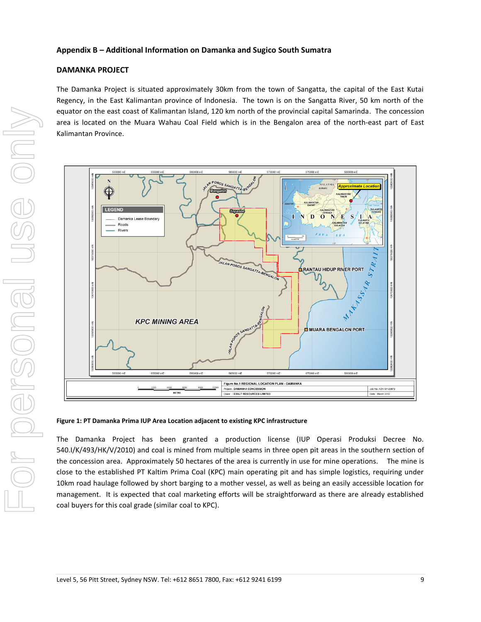## **DAMANKA PROJECT**

The Damanka Project is situated approximately 30km from the town of Sangatta, the capital of the East Kutai Regency, in the East Kalimantan province of Indonesia. The town is on the Sangatta River, 50 km north of the equator on the east coast of Kalimantan Island, 120 km north of the provincial capital Samarinda. The concession area is located on the Muara Wahau Coal Field which is in the Bengalon area of the north-east part of East Kalimantan Province.



#### **Figure 1: PT Damanka Prima IUP Area Location adjacent to existing KPC infrastructure**

The Damanka Project has been granted a production license (IUP Operasi Produksi Decree No. 540.I/K/493/HK/V/2010) and coal is mined from multiple seams in three open pit areas in the southern section of the concession area. Approximately 50 hectares of the area is currently in use for mine operations. The mine is close to the established PT Kaltim Prima Coal (KPC) main operating pit and has simple logistics, requiring under 10km road haulage followed by short barging to a mother vessel, as well as being an easily accessible location for management. It is expected that coal marketing efforts will be straightforward as there are already established coal buyers for this coal grade (similar coal to KPC).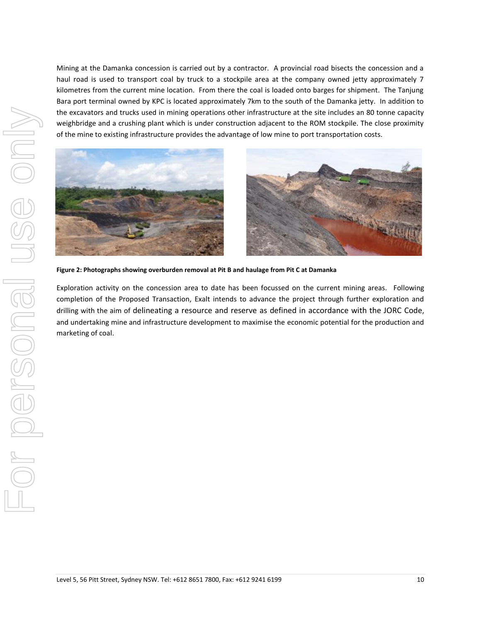Mining at the Damanka concession is carried out by a contractor. A provincial road bisects the concession and a haul road is used to transport coal by truck to a stockpile area at the company owned jetty approximately 7 kilometres from the current mine location. From there the coal is loaded onto barges for shipment. The Tanjung Bara port terminal owned by KPC is located approximately 7km to the south of the Damanka jetty. In addition to the excavators and trucks used in mining operations other infrastructure at the site includes an 80 tonne capacity weighbridge and a crushing plant which is under construction adjacent to the ROM stockpile. The close proximity of the mine to existing infrastructure provides the advantage of low mine to port transportation costs.



VILO PORSONAI USS ONN



**Figure 2: Photographs showing overburden removal at Pit B and haulage from Pit C at Damanka**

Exploration activity on the concession area to date has been focussed on the current mining areas. Following completion of the Proposed Transaction, Exalt intends to advance the project through further exploration and drilling with the aim of delineating a resource and reserve as defined in accordance with the JORC Code, and undertaking mine and infrastructure development to maximise the economic potential for the production and marketing of coal.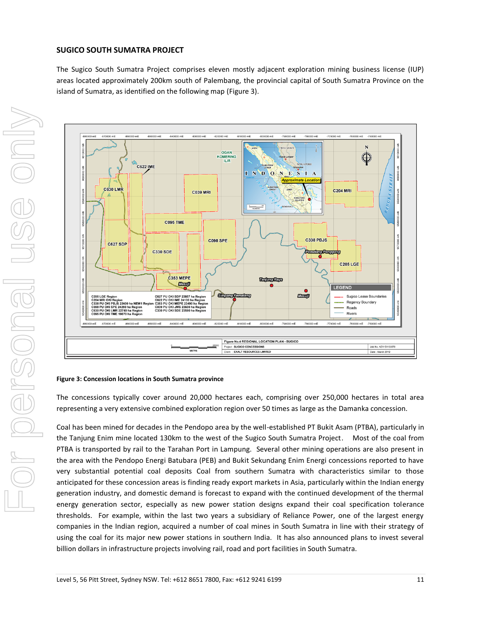#### **SUGICO SOUTH SUMATRA PROJECT**

The Sugico South Sumatra Project comprises eleven mostly adjacent exploration mining business license (IUP) areas located approximately 200km south of Palembang, the provincial capital of South Sumatra Province on the island of Sumatra, as identified on the following map (Figure 3).



#### **Figure 3: Concession locations in South Sumatra province**

The concessions typically cover around 20,000 hectares each, comprising over 250,000 hectares in total area representing a very extensive combined exploration region over 50 times as large as the Damanka concession.

Coal has been mined for decades in the Pendopo area by the well-established PT Bukit Asam (PTBA), particularly in the Tanjung Enim mine located 130km to the west of the Sugico South Sumatra Project. Most of the coal from PTBA is transported by rail to the Tarahan Port in Lampung. Several other mining operations are also present in the area with the Pendopo Energi Batubara (PEB) and Bukit Sekundang Enim Energi concessions reported to have very substantial potential coal deposits Coal from southern Sumatra with characteristics similar to those anticipated for these concession areas is finding ready export markets in Asia, particularly within the Indian energy generation industry, and domestic demand is forecast to expand with the continued development of the thermal energy generation sector, especially as new power station designs expand their coal specification tolerance thresholds. For example, within the last two years a subsidiary of Reliance Power, one of the largest energy companies in the Indian region, acquired a number of coal mines in South Sumatra in line with their strategy of using the coal for its major new power stations in southern India. It has also announced plans to invest several billion dollars in infrastructure projects involving rail, road and port facilities in South Sumatra.